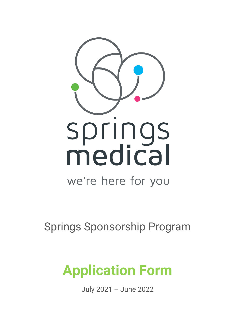

Springs Sponsorship Program

# **Application Form**

July 2021 – June 2022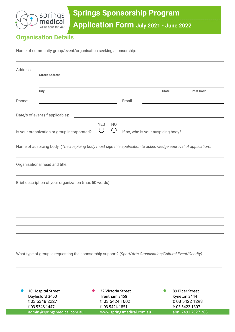

# **Organisation Details**

Name of community group/event/organisation seeking sponsorship:

| Address: |                                                                                                                 |                     |                  |                    |                                    |                 |                  |
|----------|-----------------------------------------------------------------------------------------------------------------|---------------------|------------------|--------------------|------------------------------------|-----------------|------------------|
|          | <b>Street Address</b>                                                                                           |                     |                  |                    |                                    |                 |                  |
|          | City                                                                                                            |                     |                  |                    | <b>State</b>                       |                 | <b>Post Code</b> |
| Phone:   |                                                                                                                 |                     |                  | Email              |                                    |                 |                  |
|          | Date/s of event (if applicable):                                                                                |                     |                  |                    |                                    |                 |                  |
|          | Is your organization or group incorporated?                                                                     | <b>YES</b><br>$($ ) | <b>NO</b><br>( ) |                    | If no, who is your auspicing body? |                 |                  |
|          | Name of auspicing body: (The auspicing body must sign this application to acknowledge approval of application). |                     |                  |                    |                                    |                 |                  |
|          | Organisational head and title:                                                                                  |                     |                  |                    |                                    |                 |                  |
|          | Brief description of your organization (max 50 words):                                                          |                     |                  |                    |                                    |                 |                  |
|          |                                                                                                                 |                     |                  |                    |                                    |                 |                  |
|          |                                                                                                                 |                     |                  |                    |                                    |                 |                  |
|          |                                                                                                                 |                     |                  |                    |                                    |                 |                  |
|          | What type of group is requesting the sponsorship support? (Sport/Arts Organisation/Cultural Event/Charity)      |                     |                  |                    |                                    |                 |                  |
|          |                                                                                                                 |                     |                  |                    |                                    |                 |                  |
|          | 10 Hospital Street                                                                                              |                     |                  | 22 Victoria Street |                                    | 89 Piper Street |                  |

| 10 Hospital Street          | 22 Victoria Street        | 89 Piper Street    |
|-----------------------------|---------------------------|--------------------|
| Daylesford 3460             | Trentham 3458             | Kyneton 3444       |
| t:03 5348 2227              | t: 03 5424 1602           | t: 03 5422 1298    |
| f:03 5348 1447              | f: 03 5424 1851           | f: 03 5422 1307    |
| admin@springsmedical.com.au | www.springsmedical.com.au | abn: 7491 7927 268 |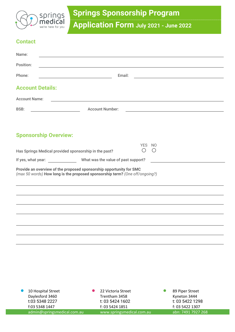

#### **Contact**

| Name:                        |                                                                                                                                                     |                            |                                               |  |  |  |
|------------------------------|-----------------------------------------------------------------------------------------------------------------------------------------------------|----------------------------|-----------------------------------------------|--|--|--|
| Position:                    |                                                                                                                                                     |                            |                                               |  |  |  |
| Phone:<br>Email:             |                                                                                                                                                     |                            |                                               |  |  |  |
| <b>Account Details:</b>      |                                                                                                                                                     |                            |                                               |  |  |  |
| <b>Account Name:</b>         |                                                                                                                                                     |                            |                                               |  |  |  |
| <b>BSB:</b>                  | <b>Account Number:</b>                                                                                                                              |                            | <u> 1989 - Andrea Andrew Maria (h. 1989).</u> |  |  |  |
| <b>Sponsorship Overview:</b> |                                                                                                                                                     |                            |                                               |  |  |  |
|                              | Has Springs Medical provided sponsorship in the past?                                                                                               | YES NO<br>$\left( \right)$ | $($ )                                         |  |  |  |
|                              | If yes, what year: What was the value of past support?                                                                                              |                            |                                               |  |  |  |
|                              | Provide an overview of the proposed sponsorship opportunity for SMC<br>(max 50 words) How long is the proposed sponsorship term? (One off/ongoing?) |                            |                                               |  |  |  |
|                              |                                                                                                                                                     |                            |                                               |  |  |  |
|                              |                                                                                                                                                     |                            |                                               |  |  |  |
|                              |                                                                                                                                                     |                            |                                               |  |  |  |
|                              |                                                                                                                                                     |                            |                                               |  |  |  |
|                              |                                                                                                                                                     |                            |                                               |  |  |  |
|                              |                                                                                                                                                     |                            |                                               |  |  |  |

| 10 Hospital Street          | 22 Victoria Street        | 89 Piper Street    |
|-----------------------------|---------------------------|--------------------|
| Daylesford 3460             | Trentham 3458             | Kyneton 3444       |
| t:03 5348 2227              | t: 03 5424 1602           | t: 03 5422 1298    |
| f:03 5348 1447              | f: 03 5424 1851           | f: 03 5422 1307    |
| admin@springsmedical.com.au | www.springsmedical.com.au | abn: 7491 7927 268 |